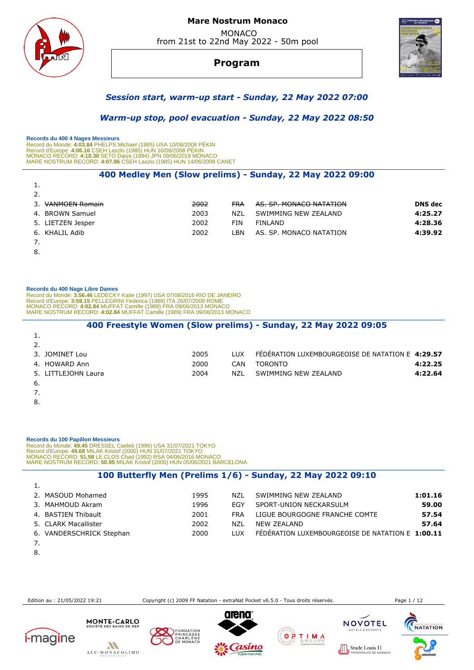

# **Program**



# *Session start, warm-up start - Sunday, 22 May 2022 07:00*

 *Warm-up stop, pool evacuation - Sunday, 22 May 2022 08:50* 

 **Records du 400 4 Nages Messieurs** 

Record du Monde: 4**:03.84** PHELPS Michael (1985) USA 10/08/2008 PEKIN<br>Record d'Europe: 4**:06.16** CSEH Laszlo (1985) HUN 10/08/2008 PÉKIN<br>MONACO RECORD: 4**:10.30** SETO Daiya (1994) JPN 09/06/2019 MONACO<br>MARE NOSTRUM RECORD:

### **400 Medley Men (Slow prelims) - Sunday, 22 May 2022 09:00**

| <b>.</b>              |      |            |                         |                |
|-----------------------|------|------------|-------------------------|----------------|
| 2.                    |      |            |                         |                |
| <b>VANMOEN Romain</b> | 2002 | FRA        | AS. SP. MONACO NATATION | <b>DNS</b> dec |
| 4. BROWN Samuel       | 2003 | NZL        | SWIMMING NEW ZEALAND    | 4:25.27        |
| 5. LIETZEN Jesper     | 2002 | <b>FIN</b> | FINLAND                 | 4:28.36        |
| 6. KHALIL Adib        | 2002 | _BN        | AS. SP. MONACO NATATION | 4:39.92        |
|                       |      |            |                         |                |
|                       |      |            |                         |                |

8.

#### **Records du 400 Nage Libre Dames**

Record du Monde: 3**:56.46** LEDECKY Katie (1997) USA 07/08/2016 RIO DE JANEIRO<br>Record d'Europe: 3**:59.15** PELLEGRINI Federica (1988) ITA 26/07/2009 ROME<br>MONACO RECORD: **4:02.84** MUFFAT Camille (1989) FRA 09/06/2013 MONACO<br>M

| 400 Freestyle Women (Slow prelims) - Sunday, 22 May 2022 09:05 |      |            |                                                  |         |  |  |  |
|----------------------------------------------------------------|------|------------|--------------------------------------------------|---------|--|--|--|
|                                                                |      |            |                                                  |         |  |  |  |
|                                                                |      |            |                                                  |         |  |  |  |
| 3. JOMINET Lou                                                 | 2005 | <b>LUX</b> | FEDERATION LUXEMBOURGEOISE DE NATATION E 4:29.57 |         |  |  |  |
| 4. HOWARD Ann                                                  | 2000 | CAN        | <b>TORONTO</b>                                   | 4:22.25 |  |  |  |
| 5. LITTLEJOHN Laura                                            | 2004 | NZL        | SWIMMING NEW ZEALAND                             | 4:22.64 |  |  |  |
| 6.                                                             |      |            |                                                  |         |  |  |  |
|                                                                |      |            |                                                  |         |  |  |  |
| 8.                                                             |      |            |                                                  |         |  |  |  |

 **Records du 100 Papillon Messieurs**  Record du Monde: 49.45 DRESSEL Caeleb (1996) USA 31/07/2021 TOKYO<br>Record d'Europe: 49.68 MILAK Kristof (2000) HUN 31/07/2021 TOKYO<br>MONACO RECORD: 51.58 LE CLOS Chad (1992) RSA 04/06/2016 MONACO<br>MARE NOSTRUM RECORD: 50.95 M

### **100 Butterfly Men (Prelims 1/6) - Sunday, 22 May 2022 09:10**

| 2. MASOUD Mohamed        | 1995 | N71.       | SWIMMING NEW ZEALAND                             | 1:01.16 |
|--------------------------|------|------------|--------------------------------------------------|---------|
| 3. MAHMOUD Akram         | 1996 | EGY        | SPORT-UNION NECKARSULM                           | 59.00   |
| 4. BASTIEN Thibault      | 2001 | FRA        | LIGUE BOURGOGNE FRANCHE COMTE                    | 57.54   |
| 5. CLARK Macallister     | 2002 | NZL        | NEW ZEALAND                                      | 57.64   |
| 6. VANDERSCHRICK Stephan | 2000 | <b>TUX</b> | FÉDÉRATION LUXEMBOURGEOISE DE NATATION E 1:00.11 |         |
|                          |      |            |                                                  |         |

- 
- 8.

Edition au : 21/05/2022 19:21 Copyright (c) 2009 FF Natation - extraNat Pocket v6.5.0 - Tous droits réservés. Page 1 / 12















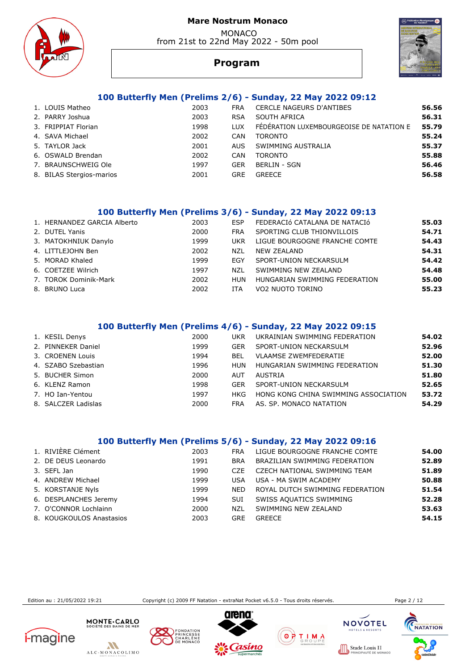MONACO from 21st to 22nd May 2022 - 50m pool





# **Program**

# **100 Butterfly Men (Prelims 2/6) - Sunday, 22 May 2022 09:12**

| 1. LOUIS Matheo          | 2003 | <b>FRA</b> | <b>CERCLE NAGEURS D'ANTIBES</b>          | 56.56 |
|--------------------------|------|------------|------------------------------------------|-------|
| 2. PARRY Joshua          | 2003 | <b>RSA</b> | SOUTH AFRICA                             | 56.31 |
| 3. FRIPPIAT Florian      | 1998 | LUX.       | FÉDÉRATION LUXEMBOURGEOISE DE NATATION E | 55.79 |
| 4. SAVA Michael          | 2002 | CAN        | <b>TORONTO</b>                           | 55.24 |
| 5. TAYLOR Jack           | 2001 | AUS.       | SWIMMING AUSTRALIA                       | 55.37 |
| 6. OSWALD Brendan        | 2002 | CAN        | <b>TORONTO</b>                           | 55.88 |
| 7. BRAUNSCHWEIG Ole      | 1997 | GER        | <b>BERLIN - SGN</b>                      | 56.46 |
| 8. BILAS Stergios-marios | 2001 | <b>GRE</b> | <b>GREECE</b>                            | 56.58 |
|                          |      |            |                                          |       |

### **100 Butterfly Men (Prelims 3/6) - Sunday, 22 May 2022 09:13**

| 2000<br>2. DUTEL Yanis<br>SPORTING CLUB THIONVILLOIS<br><b>FRA</b><br>3. MATOKHNIUK Danylo<br>LIGUE BOURGOGNE FRANCHE COMTE<br>1999<br><b>UKR</b><br>4. LITTLEJOHN Ben<br>2002<br><b>NEW ZEALAND</b><br>N71<br>5. MORAD Khaled<br>1999<br>SPORT-UNION NECKARSULM<br>EGY<br>6. COETZEE Wilrich<br>1997<br>SWIMMING NEW ZEALAND<br>N71<br>7. TOROK Dominik-Mark<br>2002<br>HUNGARIAN SWIMMING FEDERATION<br>HUN | 1. HERNANDEZ GARCIA Alberto | 2003 | <b>FSP</b> | FEDERACIÓ CATALANA DE NATACIÓ | 55.03 |
|---------------------------------------------------------------------------------------------------------------------------------------------------------------------------------------------------------------------------------------------------------------------------------------------------------------------------------------------------------------------------------------------------------------|-----------------------------|------|------------|-------------------------------|-------|
|                                                                                                                                                                                                                                                                                                                                                                                                               |                             |      |            |                               | 54.71 |
|                                                                                                                                                                                                                                                                                                                                                                                                               |                             |      |            |                               | 54.43 |
|                                                                                                                                                                                                                                                                                                                                                                                                               |                             |      |            |                               | 54.31 |
|                                                                                                                                                                                                                                                                                                                                                                                                               |                             |      |            |                               | 54.42 |
|                                                                                                                                                                                                                                                                                                                                                                                                               |                             |      |            |                               | 54.48 |
|                                                                                                                                                                                                                                                                                                                                                                                                               |                             |      |            |                               | 55.00 |
|                                                                                                                                                                                                                                                                                                                                                                                                               | 8. BRUNO Luca               | 2002 | <b>ITA</b> | VO2 NUOTO TORINO              | 55.23 |

# **100 Butterfly Men (Prelims 4/6) - Sunday, 22 May 2022 09:15**

| 1. KESIL Denys      | 2000 | <b>UKR</b> | UKRAINIAN SWIMMING FEDERATION        | 54.02 |
|---------------------|------|------------|--------------------------------------|-------|
| 2. PINNEKER Daniel  | 1999 | <b>GER</b> | SPORT-UNION NECKARSULM               | 52.96 |
| 3. CROENEN Louis    | 1994 | BEL        | <b>VLAAMSE ZWEMFEDERATIE</b>         | 52.00 |
| 4. SZABO Szebastian | 1996 | HUN        | HUNGARIAN SWIMMING FEDERATION        | 51.30 |
| 5. BUCHER Simon     | 2000 | <b>AUT</b> | AUSTRIA                              | 51.80 |
| 6. KLENZ Ramon      | 1998 | <b>GFR</b> | SPORT-UNION NECKARSULM               | 52.65 |
| 7. HO Ian-Yentou    | 1997 | HKG        | HONG KONG CHINA SWIMMING ASSOCIATION | 53.72 |
| 8. SALCZER Ladislas | 2000 | FRA        | AS. SP. MONACO NATATION              | 54.29 |

# **100 Butterfly Men (Prelims 5/6) - Sunday, 22 May 2022 09:16**

| 1. RIVIÈRE Clément       | 2003 | <b>FRA</b> | LIGUE BOURGOGNE FRANCHE COMTE       | 54.00 |
|--------------------------|------|------------|-------------------------------------|-------|
| 2. DE DEUS Leonardo      | 1991 | <b>BRA</b> | BRAZILIAN SWIMMING FEDERATION       | 52.89 |
| 3. SEFL Jan              | 1990 | CZE.       | <b>CZECH NATIONAL SWIMMING TEAM</b> | 51.89 |
| 4. ANDREW Michael        | 1999 | USA        | USA - MA SWIM ACADEMY               | 50.88 |
| 5. KORSTANJE Nyls        | 1999 | <b>NED</b> | ROYAL DUTCH SWIMMING FEDERATION     | 51.54 |
| 6. DESPLANCHES Jeremy    | 1994 | <b>SUI</b> | SWISS AQUATICS SWIMMING             | 52.28 |
| 7. O'CONNOR Lochlainn    | 2000 | NZL        | SWIMMING NEW ZEALAND                | 53.63 |
| 8. KOUGKOULOS Anastasios | 2003 | <b>GRE</b> | <b>GREECE</b>                       | 54.15 |

Edition au : 21/05/2022 19:21 Copyright (c) 2009 FF Natation - extraNat Pocket v6.5.0 - Tous droits réservés. Page 2 / 12













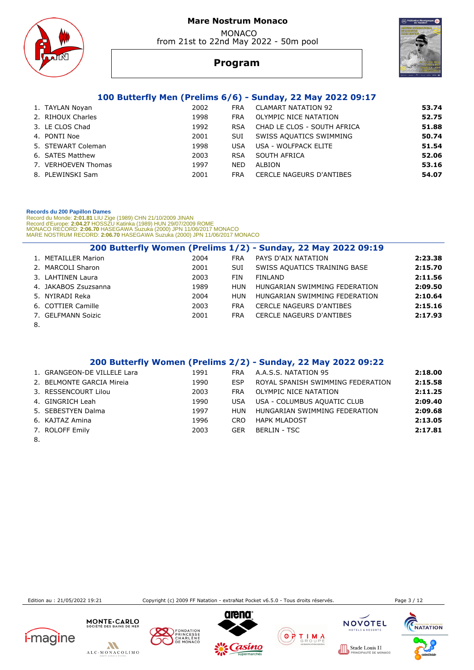MONACO from 21st to 22nd May 2022 - 50m pool





# **Program**

# **100 Butterfly Men (Prelims 6/6) - Sunday, 22 May 2022 09:17**

| 1. TAYLAN Noyan     | 2002 | <b>FRA</b> | <b>CLAMART NATATION 92</b>  | 53.74 |
|---------------------|------|------------|-----------------------------|-------|
| 2. RIHOUX Charles   | 1998 | <b>FRA</b> | OLYMPIC NICE NATATION       | 52.75 |
| 3. LE CLOS Chad     | 1992 | <b>RSA</b> | CHAD LE CLOS - SOUTH AFRICA | 51.88 |
| 4. PONTI Noe        | 2001 | SUI        | SWISS AQUATICS SWIMMING     | 50.74 |
| 5. STEWART Coleman  | 1998 | <b>USA</b> | USA - WOLFPACK ELITE        | 51.54 |
| 6. SATES Matthew    | 2003 | <b>RSA</b> | SOUTH AFRICA                | 52.06 |
| 7. VERHOEVEN Thomas | 1997 | <b>NED</b> | ALBION                      | 53.16 |
| 8. PLEWINSKI Sam    | 2001 | <b>FRA</b> | CERCLE NAGEURS D'ANTIBES    | 54.07 |
|                     |      |            |                             |       |

#### **Records du 200 Papillon Dames**

Record du Monde: **2:01.81** LIU Zige (1989) CHN 21/10/2009 JINAN<br>Record d'Europe: 2**:04.27 HOSSZU Katinka (1989) HUN 29/07/2009 ROME<br>MONACO RECORD: <b>2:06.70 H**ASEGAWA Suzuka (2000) JPN 11/06/2017 MONACO<br>MARE NOSTRUM RECORD:

|    |                      |      |            | 200 Butterfly Women (Prelims 1/2) - Sunday, 22 May 2022 09:19 |         |
|----|----------------------|------|------------|---------------------------------------------------------------|---------|
|    | 1. METAILLER Marion  | 2004 | <b>FRA</b> | PAYS D'AIX NATATION                                           | 2:23.38 |
|    | 2. MARCOLI Sharon    | 2001 | <b>SUI</b> | SWISS AQUATICS TRAINING BASE                                  | 2:15.70 |
|    | 3. LAHTINEN Laura    | 2003 | <b>FIN</b> | FINLAND                                                       | 2:11.56 |
|    | 4. JAKABOS Zsuzsanna | 1989 | <b>HUN</b> | HUNGARIAN SWIMMING FEDERATION                                 | 2:09.50 |
|    | 5. NYIRADI Reka      | 2004 | HUN        | HUNGARIAN SWIMMING FEDERATION                                 | 2:10.64 |
|    | 6. COTTIER Camille   | 2003 | <b>FRA</b> | <b>CERCLE NAGEURS D'ANTIBES</b>                               | 2:15.16 |
|    | 7. GELFMANN Soizic   | 2001 | <b>FRA</b> | <b>CERCLE NAGEURS D'ANTIBES</b>                               | 2:17.93 |
| 8. |                      |      |            |                                                               |         |

## **200 Butterfly Women (Prelims 2/2) - Sunday, 22 May 2022 09:22**

| 2:18.00                                      |
|----------------------------------------------|
| 2:15.58<br>ROYAL SPANISH SWIMMING FEDERATION |
| 2:11.25                                      |
| 2:09.40                                      |
| HUNGARIAN SWIMMING FEDERATION<br>2:09.68     |
| 2:13.05                                      |
| 2:17.81                                      |
|                                              |

8.

Edition au : 21/05/2022 19:21 Copyright (c) 2009 FF Natation - extraNat Pocket v6.5.0 - Tous droits réservés. Page 3 / 12













**ILS 11**<br>DE MONACC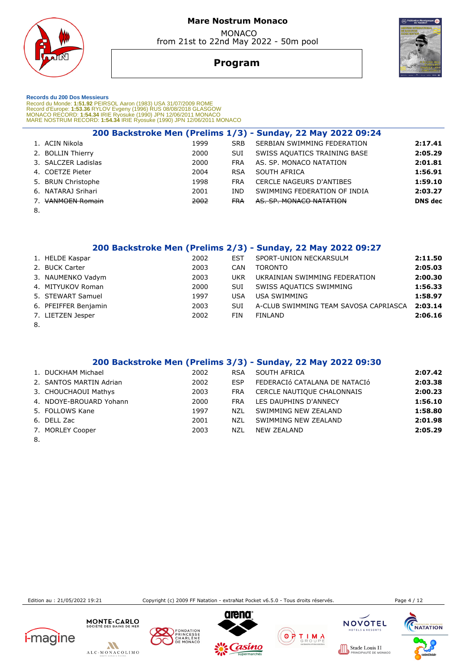

**Program**



 **Records du 200 Dos Messieurs** 

Record du Monde: 1**:51.92** PEIRSOL Aaron (1983) USA 31/07/2009 ROME<br>Record d'Europe: 1**:53.36** RYLOV Evgeny (1996) RUS 08/08/2018 GLASGOW<br>MONACO RECORD: 1**:54.34** IRIE Ryosuke (1990) JPN 12/06/2011 MONACO<br>MARE NOSTRUM RECO

|        |                       |      |            | 200 Backstroke Men (Prelims 1/3) - Sunday, 22 May 2022 09:24 |                |
|--------|-----------------------|------|------------|--------------------------------------------------------------|----------------|
|        | 1. ACIN Nikola        | 1999 | <b>SRB</b> | SERBIAN SWIMMING FEDERATION                                  | 2:17.41        |
|        | 2. BOLLIN Thierry     | 2000 | <b>SUI</b> | SWISS AQUATICS TRAINING BASE                                 | 2:05.29        |
|        | 3. SALCZER Ladislas   | 2000 | <b>FRA</b> | AS. SP. MONACO NATATION                                      | 2:01.81        |
|        | 4. COETZE Pieter      | 2004 | <b>RSA</b> | SOUTH AFRICA                                                 | 1:56.91        |
|        | 5. BRUN Christophe    | 1998 | <b>FRA</b> | <b>CERCLE NAGEURS D'ANTIBES</b>                              | 1:59.10        |
|        | 6. NATARAJ Srihari    | 2001 | IND        | SWIMMING FEDERATION OF INDIA                                 | 2:03.27        |
|        | <b>VANMOEN Romain</b> | 2002 | <b>FRA</b> | AS. SP. MONACO NATATION                                      | <b>DNS</b> dec |
| $\sim$ |                       |      |            |                                                              |                |

8.

 **200 Backstroke Men (Prelims 2/3) - Sunday, 22 May 2022 09:27** 

|    | 1. HELDE Kaspar      | 2002 | <b>EST</b> | SPORT-UNION NECKARSULM                | 2:11.50 |
|----|----------------------|------|------------|---------------------------------------|---------|
|    | 2. BUCK Carter       | 2003 | CAN        | <b>TORONTO</b>                        | 2:05.03 |
|    | 3. NAUMENKO Vadym    | 2003 | <b>UKR</b> | UKRAINIAN SWIMMING FEDERATION         | 2:00.30 |
|    | 4. MITYUKOV Roman    | 2000 | SUI        | SWISS AQUATICS SWIMMING               | 1:56.33 |
|    | 5. STEWART Samuel    | 1997 | <b>USA</b> | <b>USA SWIMMING</b>                   | 1:58.97 |
|    | 6. PFEIFFER Benjamin | 2003 | SUI        | A-CLUB SWIMMING TEAM SAVOSA CAPRIASCA | 2:03.14 |
|    | 7. LIETZEN Jesper    | 2002 | FIN        | FINLAND                               | 2:06.16 |
| 8. |                      |      |            |                                       |         |

## **200 Backstroke Men (Prelims 3/3) - Sunday, 22 May 2022 09:30**

| 1. DUCKHAM Michael      | 2002 | <b>RSA</b> | SOUTH AFRICA                  | 2:07.42 |
|-------------------------|------|------------|-------------------------------|---------|
| 2. SANTOS MARTIN Adrian | 2002 | <b>FSP</b> | FEDERACIÓ CATALANA DE NATACIÓ | 2:03.38 |
| 3. CHOUCHAOUI Mathys    | 2003 | <b>FRA</b> | CERCLE NAUTIQUE CHALONNAIS    | 2:00.23 |
| 4. NDOYE-BROUARD Yohann | 2000 | <b>FRA</b> | LES DAUPHINS D'ANNECY         | 1:56.10 |
| 5. FOLLOWS Kane         | 1997 | NZL        | SWIMMING NEW ZEALAND          | 1:58.80 |
| 6. DELL Zac             | 2001 | NZL        | SWIMMING NEW ZEALAND          | 2:01.98 |
| 7. MORLEY Cooper        | 2003 | NZL        | NEW ZEALAND                   | 2:05.29 |
|                         |      |            |                               |         |

8.

Edition au : 21/05/2022 19:21 Copyright (c) 2009 FF Natation - extraNat Pocket v6.5.0 - Tous droits réservés. Page 4 / 12

**ILS 11**<br>DE MONACC











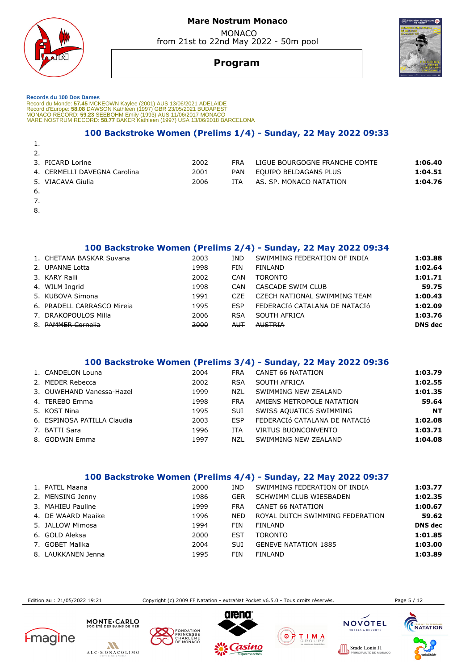

 MONACO from 21st to 22nd May 2022 - 50m pool



# **Program**

#### **Records du 100 Dos Dames**

Record du Monde: 57.45 MCKEOWN Kaylee (2001) AUS 13/06/2021 ADELAIDE<br>Record d'Europe: 58.08 DAWSON Kathleen (1997) GBR 23/05/2021 BUDAPEST<br>MONACO RECORD: 59.23 SEEBOHM Emily (1993) AUS 11/06/2017 MONACO<br>MARE NOSTRUM RECORD

### **100 Backstroke Women (Prelims 1/4) - Sunday, 22 May 2022 09:33**

| 3. PICARD Lorine             | 2002 | <b>FRA</b> | LIGUE BOURGOGNE FRANCHE COMTE | 1:06.40 |
|------------------------------|------|------------|-------------------------------|---------|
| 4. CERMELLI DAVEGNA Carolina | 2001 | PAN        | EQUIPO BELDAGANS PLUS         | 1:04.51 |
| 5. VIACAVA Giulia            | 2006 | ITA.       | AS. SP. MONACO NATATION       | 1:04.76 |
|                              |      |            |                               |         |

6.

1.

- 7.
- 8.

 **100 Backstroke Women (Prelims 2/4) - Sunday, 22 May 2022 09:34** 

| 1. CHETANA BASKAR Suvana   | 2003 | IND.       | SWIMMING FEDERATION OF INDIA  | 1:03.88        |
|----------------------------|------|------------|-------------------------------|----------------|
| 2. UPANNE Lotta            | 1998 | FIN        | <b>FINLAND</b>                | 1:02.64        |
| 3. KARY Raili              | 2002 | CAN        | <b>TORONTO</b>                | 1:01.71        |
| 4. WILM Ingrid             | 1998 | <b>CAN</b> | CASCADE SWIM CLUB             | 59.75          |
| 5. KUBOVA Simona           | 1991 | CZE        | CZECH NATIONAL SWIMMING TEAM  | 1:00.43        |
| 6. PRADELL CARRASCO Mireia | 1995 | <b>FSP</b> | FEDERACIÓ CATALANA DE NATACIÓ | 1:02.09        |
| 7. DRAKOPOULOS Milla       | 2006 | <b>RSA</b> | SOUTH AFRICA                  | 1:03.76        |
| 8. PAMMER Cornelia         | 2000 | <b>AUT</b> | <b>AUSTRIA</b>                | <b>DNS</b> dec |
|                            |      |            |                               |                |

### **100 Backstroke Women (Prelims 3/4) - Sunday, 22 May 2022 09:36**

| 1. CANDELON Louna           | 2004 | <b>FRA</b> | CANET 66 NATATION             | 1:03.79   |
|-----------------------------|------|------------|-------------------------------|-----------|
| 2. MEDER Rebecca            | 2002 | <b>RSA</b> | SOUTH AFRICA                  | 1:02.55   |
| 3. OUWEHAND Vanessa-Hazel   | 1999 | NZL        | SWIMMING NEW ZEALAND          | 1:01.35   |
| 4. TEREBO Emma              | 1998 | <b>FRA</b> | AMIENS METROPOLE NATATION     | 59.64     |
| 5. KOST Nina                | 1995 | SUI        | SWISS AQUATICS SWIMMING       | <b>NT</b> |
| 6. ESPINOSA PATILLA Claudia | 2003 | <b>FSP</b> | FEDERACIÓ CATALANA DE NATACIÓ | 1:02.08   |
| 7. BATTI Sara               | 1996 | <b>ITA</b> | <b>VIRTUS BUONCONVENTO</b>    | 1:03.71   |
| 8. GODWIN Emma              | 1997 | NZL        | SWIMMING NEW ZEALAND          | 1:04.08   |
|                             |      |            |                               |           |

### **100 Backstroke Women (Prelims 4/4) - Sunday, 22 May 2022 09:37**

| 1. PATEL Maana              | 2000 | IND        | SWIMMING FEDERATION OF INDIA    | 1:03.77        |
|-----------------------------|------|------------|---------------------------------|----------------|
| 2. MENSING Jenny            | 1986 | <b>GER</b> | SCHWIMM CLUB WIESBADEN          | 1:02.35        |
| 3. MAHIEU Pauline           | 1999 | <b>FRA</b> | CANET 66 NATATION               | 1:00.67        |
| 4. DE WAARD Maaike          | 1996 | <b>NED</b> | ROYAL DUTCH SWIMMING FEDERATION | 59.62          |
| 5. <del>JALLOW Mimosa</del> | 4994 | <b>FIN</b> | <b>FINLAND</b>                  | <b>DNS</b> dec |
| 6. GOLD Aleksa              | 2000 | EST        | <b>TORONTO</b>                  | 1:01.85        |
| 7. GOBET Malika             | 2004 | <b>SUI</b> | <b>GENEVE NATATION 1885</b>     | 1:03.00        |
| 8. LAUKKANEN Jenna          | 1995 | FIN        | FINLAND                         | 1:03.89        |

Edition au : 21/05/2022 19:21 Copyright (c) 2009 FF Natation - extraNat Pocket v6.5.0 - Tous droits réservés. Page 5 / 12















 $0000$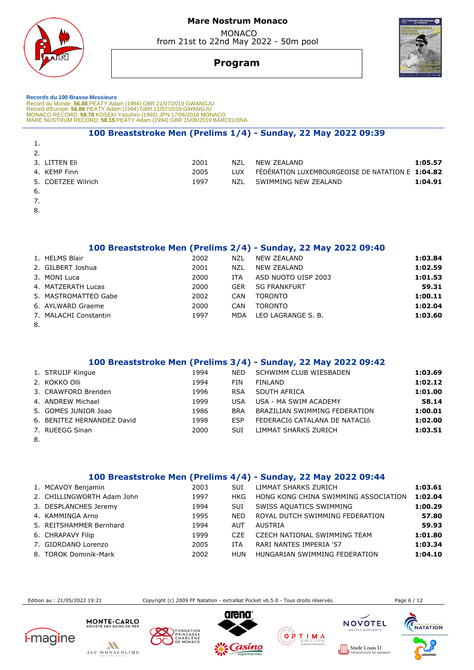



# MONACO from 21st to 22nd May 2022 - 50m pool



# **Program**

 **Records du 100 Brasse Messieurs**  Record du Monde: **56.88** PEATY Adam (1994) GBR 21/07/2019 GWANGJU<br>Record d'Europe: 5**6.88 PEATY Adam (1994) GBR 21/07/2019 GWANGJU<br>MONACO RECORD: 5<b>8.78** KOSEKI Yasuhiro (1992) JPN 17/06/2018 MONACO<br>MARE NOSTRUM RECORD: **5** 

### **100 Breaststroke Men (Prelims 1/4) - Sunday, 22 May 2022 09:39**

| <u>.</u> |                    |      |            |                                                  |         |
|----------|--------------------|------|------------|--------------------------------------------------|---------|
|          | 3. LITTEN Eli      | 2001 | N71        | NFW 7FAI AND                                     | 1:05.57 |
|          | 4. KEMP Finn       | 2005 | <b>TUX</b> | FEDERATION LUXEMBOURGEOISE DE NATATION E 1:04.82 |         |
|          | 5. COETZEE Wilrich | 1997 | N71        | SWIMMING NEW ZEALAND                             | 1:04.91 |
| -6.      |                    |      |            |                                                  |         |

7.

1.

8.

 **100 Breaststroke Men (Prelims 2/4) - Sunday, 22 May 2022 09:40** 

|    | 1. HELMS Blair        | 2002 | NZL        | NEW ZEALAND         | 1:03.84 |
|----|-----------------------|------|------------|---------------------|---------|
|    | 2. GILBERT Joshua     | 2001 | NZL        | <b>NEW ZEALAND</b>  | 1:02.59 |
|    | 3. MONI Luca          | 2000 | ITA        | ASD NUOTO UISP 2003 | 1:01.53 |
|    | 4. MATZERATH Lucas    | 2000 | <b>GER</b> | <b>SG FRANKFURT</b> | 59.31   |
|    | 5. MASTROMATTEO Gabe  | 2002 | CAN        | <b>TORONTO</b>      | 1:00.11 |
|    | 6. AYLWARD Graeme     | 2000 | <b>CAN</b> | <b>TORONTO</b>      | 1:02.04 |
|    | 7. MALACHI Constantin | 1997 | MDA        | LEO LAGRANGE S. B.  | 1:03.60 |
| 8. |                       |      |            |                     |         |

### **100 Breaststroke Men (Prelims 3/4) - Sunday, 22 May 2022 09:42**

| 1. STRUIJF Kingue          | 1994 | <b>NED</b> | SCHWIMM CLUB WIESBADEN        | 1:03.69 |
|----------------------------|------|------------|-------------------------------|---------|
| 2. KOKKO Olli              | 1994 | <b>FIN</b> | FINLAND                       | 1:02.12 |
| 3. CRAWFORD Brenden        | 1996 | <b>RSA</b> | SOUTH AFRICA                  | 1:01.00 |
| 4. ANDREW Michael          | 1999 | <b>USA</b> | USA - MA SWIM ACADEMY         | 58.14   |
| 5. GOMES JUNIOR Joao       | 1986 | <b>BRA</b> | BRAZILIAN SWIMMING FEDERATION | 1:00.01 |
| 6. BENITEZ HERNANDEZ David | 1998 | <b>FSP</b> | FEDERACIÓ CATALANA DE NATACIÓ | 1:02.00 |
| 7. RUEEGG Sinan            | 2000 | <b>SUI</b> | LIMMAT SHARKS ZURICH          | 1:03.51 |
|                            |      |            |                               |         |

8.

# **100 Breaststroke Men (Prelims 4/4) - Sunday, 22 May 2022 09:44**

| 1. MCAVOY Benjamin         | 2003 | <b>SUI</b> | LIMMAT SHARKS ZURICH                 | 1:03.61 |
|----------------------------|------|------------|--------------------------------------|---------|
| 2. CHILLINGWORTH Adam John | 1997 | HKG        | HONG KONG CHINA SWIMMING ASSOCIATION | 1:02.04 |
| 3. DESPLANCHES Jeremy      | 1994 | <b>SUI</b> | SWISS AQUATICS SWIMMING              | 1:00.29 |
| 4. KAMMINGA Arno           | 1995 | <b>NED</b> | ROYAL DUTCH SWIMMING FEDERATION      | 57.80   |
| 5. REITSHAMMER Bernhard    | 1994 | AUT        | AUSTRIA                              | 59.93   |
| 6. CHRAPAVY Filip          | 1999 | CZE.       | CZECH NATIONAL SWIMMING TEAM         | 1:01.80 |
| 7. GIORDANO Lorenzo        | 2005 | <b>ITA</b> | RARI NANTES IMPERIA '57              | 1:03.34 |
| 8. TOROK Dominik-Mark      | 2002 | HUN        | HUNGARIAN SWIMMING FEDERATION        | 1:04.10 |

Edition au : 21/05/2022 19:21 Copyright (c) 2009 FF Natation - extraNat Pocket v6.5.0 - Tous droits réservés. Page 6 / 12











ΘF



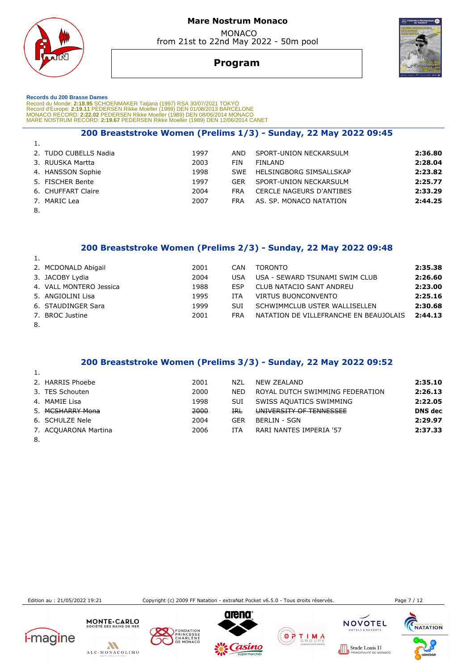

# **Program**

#### **Records du 200 Brasse Dames**

Record du Monde: 2**:18.95** SCHOENMAKER Tatjana (1997) RSA 30/07/2021 TOKYO<br>Record d'Europe: 2**:19.11 PEDERSEN Rikke Moeller (1989) DEN** 01/08/2013 BARCELONE<br>MONACO RECORD: 2**:22.02** PEDERSEN Rikke Moeller (1989) DEN 08/06/

### **200 Breaststroke Women (Prelims 1/3) - Sunday, 22 May 2022 09:45**

| 1.                    |      |            |                                 |         |
|-----------------------|------|------------|---------------------------------|---------|
| 2. TUDO CUBELLS Nadia | 1997 | AND        | SPORT-UNION NECKARSULM          | 2:36.80 |
| 3. RUUSKA Martta      | 2003 | FIN        | FINI AND                        | 2:28.04 |
| 4. HANSSON Sophie     | 1998 | <b>SWF</b> | HELSINGBORG SIMSALLSKAP         | 2:23.82 |
| 5. FISCHER Bente      | 1997 | <b>GER</b> | SPORT-UNION NECKARSULM          | 2:25.77 |
| 6. CHUFFART Claire    | 2004 | <b>FRA</b> | <b>CERCLE NAGEURS D'ANTIBES</b> | 2:33.29 |
| 7. MARIC Lea          | 2007 | <b>FRA</b> | AS. SP. MONACO NATATION         | 2:44.25 |
| $\sim$                |      |            |                                 |         |

8.

### **200 Breaststroke Women (Prelims 2/3) - Sunday, 22 May 2022 09:48**

|        | 2. MCDONALD Abigail     | 2001 | <b>CAN</b> | <b>TORONTO</b>                         | 2:35.38 |
|--------|-------------------------|------|------------|----------------------------------------|---------|
|        | 3. JACOBY Lydia         | 2004 | <b>USA</b> | USA - SEWARD TSUNAMI SWIM CLUB         | 2:26.60 |
|        | 4. VALL MONTERO Jessica | 1988 | <b>FSP</b> | CLUB NATACIO SANT ANDREU               | 2:23.00 |
|        | 5. ANGIOLINI Lisa       | 1995 | ITA        | VIRTUS BUONCONVENTO                    | 2:25.16 |
|        | 6. STAUDINGER Sara      | 1999 | <b>SUI</b> | SCHWIMMCLUB USTER WALLISELLEN          | 2:30.68 |
|        | 7. BROC Justine         | 2001 | <b>FRA</b> | NATATION DE VILLEFRANCHE EN BEAUJOLAIS | 2:44.13 |
| $\sim$ |                         |      |            |                                        |         |

8.

### **200 Breaststroke Women (Prelims 3/3) - Sunday, 22 May 2022 09:52**

| 2. HARRIS Phoebe     | 2001 | N71             | NEW ZEALAND                     | 2:35.10        |
|----------------------|------|-----------------|---------------------------------|----------------|
| 3. TES Schouten      | 2000 | <b>NED</b>      | ROYAL DUTCH SWIMMING FEDERATION | 2:26.13        |
| 4. MAMIE Lisa        | 1998 | SUI             | SWISS AQUATICS SWIMMING         | 2:22.05        |
| 5. MCSHARRY Mona     | 2000 | $_{\text{IRL}}$ | UNIVERSITY OF TENNESSEE         | <b>DNS</b> dec |
| 6. SCHULZE Nele      | 2004 | GER             | <b>BERLIN - SGN</b>             | 2:29.97        |
| 7. ACQUARONA Martina | 2006 | ITA             | RARI NANTES IMPERIA '57         | 2:37.33        |
|                      |      |                 |                                 |                |

8.

Edition au : 21/05/2022 19:21 Copyright (c) 2009 FF Natation - extraNat Pocket v6.5.0 - Tous droits réservés. Page 7 / 12











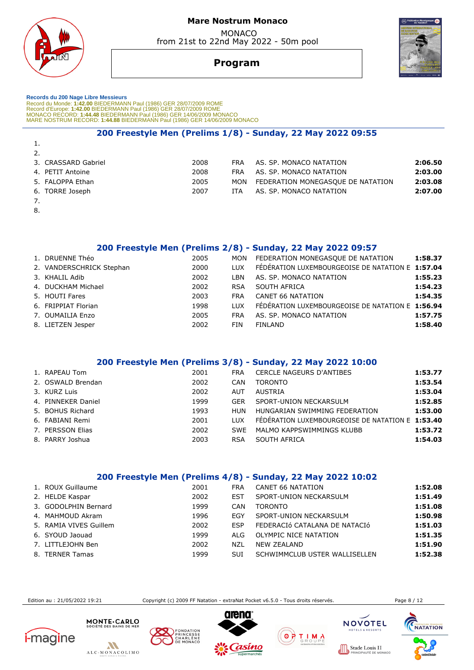

 MONACO from 21st to 22nd May 2022 - 50m pool



# **Program**

 **Records du 200 Nage Libre Messieurs**  Record du Monde: 1**:42.00** BIEDERMANN Paul (1986) GER 28/07/2009 ROME<br>Record d'Europe: 1:**42.00** BIEDERMANN Paul (1986) GER 28/07/2009 ROME<br>MONACO RECORD: 1:**44.48** BIEDERMANN Paul (1986) GER 14/06/2009 MONACO<br>MARE NOSTRUM

## **200 Freestyle Men (Prelims 1/8) - Sunday, 22 May 2022 09:55**

| 1. |                     |      |            |                                   |         |
|----|---------------------|------|------------|-----------------------------------|---------|
| 2. |                     |      |            |                                   |         |
|    | 3. CRASSARD Gabriel | 2008 | <b>FRA</b> | AS. SP. MONACO NATATION           | 2:06.50 |
|    | 4. PETIT Antoine    | 2008 | <b>FRA</b> | AS. SP. MONACO NATATION           | 2:03.00 |
|    | 5. FALOPPA Ethan    | 2005 | MON        | FEDERATION MONEGASQUE DE NATATION | 2:03.08 |
|    | 6. TORRE Joseph     | 2007 | <b>ITA</b> | AS. SP. MONACO NATATION           | 2:07.00 |
|    |                     |      |            |                                   |         |

8.

# **200 Freestyle Men (Prelims 2/8) - Sunday, 22 May 2022 09:57**

| 1. DRUENNE Théo          | 2005 | <b>MON</b> | FEDERATION MONEGASQUE DE NATATION                | 1:58.37 |
|--------------------------|------|------------|--------------------------------------------------|---------|
| 2. VANDERSCHRICK Stephan | 2000 | <b>LUX</b> | FÉDÉRATION LUXEMBOURGEOISE DE NATATION E 1:57.04 |         |
| 3. KHALIL Adib           | 2002 | I BN       | AS. SP. MONACO NATATION                          | 1:55.23 |
| 4. DUCKHAM Michael       | 2002 | <b>RSA</b> | SOUTH AFRICA                                     | 1:54.23 |
| 5. HOUTI Fares           | 2003 | <b>FRA</b> | CANET 66 NATATION                                | 1:54.35 |
| 6. FRIPPIAT Florian      | 1998 | TUX        | FÉDÉRATION LUXEMBOURGEOISE DE NATATION E 1:56.94 |         |
| 7. OUMAILIA Enzo         | 2005 | <b>FRA</b> | AS. SP. MONACO NATATION                          | 1:57.75 |
| 8. LIETZEN Jesper        | 2002 | FIN        | <b>FINLAND</b>                                   | 1:58.40 |

### **200 Freestyle Men (Prelims 3/8) - Sunday, 22 May 2022 10:00**

| 1. RAPEAU Tom      | 2001 | <b>FRA</b> | <b>CERCLE NAGEURS D'ANTIBES</b>                  | 1:53.77 |
|--------------------|------|------------|--------------------------------------------------|---------|
| 2. OSWALD Brendan  | 2002 | CAN        | <b>TORONTO</b>                                   | 1:53.54 |
| 3. KURZ Luis       | 2002 | AUT        | AUSTRIA                                          | 1:53.04 |
| 4. PINNEKER Daniel | 1999 | <b>GER</b> | SPORT-UNION NECKARSULM                           | 1:52.85 |
| 5. BOHUS Richard   | 1993 | HUN        | HUNGARIAN SWIMMING FEDERATION                    | 1:53.00 |
| 6. FABIANI Remi    | 2001 | <b>LUX</b> | FÉDÉRATION LUXEMBOURGEOISE DE NATATION E 1:53.40 |         |
| 7. PERSSON Elias   | 2002 | <b>SWF</b> | MALMO KAPPSWIMMINGS KLUBB                        | 1:53.72 |
| 8. PARRY Joshua    | 2003 | <b>RSA</b> | SOUTH AFRICA                                     | 1:54.03 |
|                    |      |            |                                                  |         |

# **200 Freestyle Men (Prelims 4/8) - Sunday, 22 May 2022 10:02**

| 1. ROUX Guillaume      | 2001 | <b>FRA</b> | CANET 66 NATATION             | 1:52.08 |
|------------------------|------|------------|-------------------------------|---------|
| 2. HELDE Kaspar        | 2002 | <b>EST</b> | SPORT-UNION NECKARSULM        | 1:51.49 |
| 3. GODOLPHIN Bernard   | 1999 | <b>CAN</b> | <b>TORONTO</b>                | 1:51.08 |
| 4. MAHMOUD Akram       | 1996 | EGY        | SPORT-UNION NECKARSULM        | 1:50.98 |
| 5. RAMIA VIVES Guillem | 2002 | <b>ESP</b> | FEDERACIÓ CATALANA DE NATACIÓ | 1:51.03 |
| 6. SYOUD Jaouad        | 1999 | ALG.       | OLYMPIC NICE NATATION         | 1:51.35 |
| 7. LITTLEJOHN Ben      | 2002 | NZL        | <b>NEW ZEALAND</b>            | 1:51.90 |
| 8. TERNER Tamas        | 1999 | SUI        | SCHWIMMCLUB USTER WALLISELLEN | 1:52.38 |

Edition au : 21/05/2022 19:21 Copyright (c) 2009 FF Natation - extraNat Pocket v6.5.0 - Tous droits réservés. Page 8 / 12









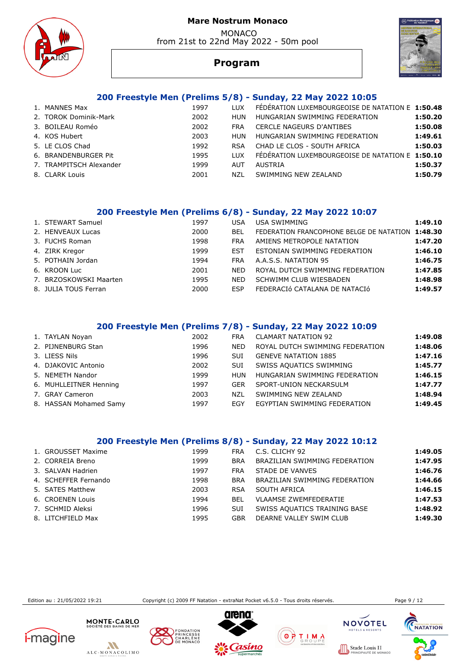MONACO from 21st to 22nd May 2022 - 50m pool





# **Program**

# **200 Freestyle Men (Prelims 5/8) - Sunday, 22 May 2022 10:05**

| 1. MANNES Max           | 1997 | LUX.       | FEDERATION LUXEMBOURGEOISE DE NATATION E 1:50.48 |         |
|-------------------------|------|------------|--------------------------------------------------|---------|
| 2. TOROK Dominik-Mark   | 2002 | HUN        | HUNGARIAN SWIMMING FEDERATION                    | 1:50.20 |
| 3. BOILEAU Roméo        | 2002 | <b>FRA</b> | <b>CERCLE NAGEURS D'ANTIBES</b>                  | 1:50.08 |
| 4. KOS Hubert           | 2003 | <b>HUN</b> | HUNGARIAN SWIMMING FEDERATION                    | 1:49.61 |
| 5. LE CLOS Chad         | 1992 | <b>RSA</b> | CHAD LE CLOS - SOUTH AFRICA                      | 1:50.03 |
| 6. BRANDENBURGER Pit    | 1995 | TUX        | FÉDÉRATION LUXEMBOURGEOISE DE NATATION E 1:50.10 |         |
| 7. TRAMPITSCH Alexander | 1999 | AUT        | AUSTRIA                                          | 1:50.37 |
| 8. CLARK Louis          | 2001 | NZL        | SWIMMING NEW ZEALAND                             | 1:50.79 |
|                         |      |            |                                                  |         |

### **200 Freestyle Men (Prelims 6/8) - Sunday, 22 May 2022 10:07**

| 1. STEWART Samuel      | 1997 | USA        | USA SWIMMING                                     | 1:49.10 |
|------------------------|------|------------|--------------------------------------------------|---------|
| 2. HENVEAUX Lucas      | 2000 | BEL        | FEDERATION FRANCOPHONE BELGE DE NATATION 1:48.30 |         |
| 3. FUCHS Roman         | 1998 | <b>FRA</b> | AMIENS METROPOLE NATATION                        | 1:47.20 |
| 4. ZIRK Kregor         | 1999 | EST        | ESTONIAN SWIMMING FEDERATION                     | 1:46.10 |
| 5. POTHAIN Jordan      | 1994 | <b>FRA</b> | A.A.S.S. NATATION 95                             | 1:46.75 |
| 6. KROON Luc           | 2001 | <b>NFD</b> | ROYAL DUTCH SWIMMING FEDERATION                  | 1:47.85 |
| 7. BRZOSKOWSKI Maarten | 1995 | <b>NED</b> | SCHWIMM CLUB WIESBADEN                           | 1:48.98 |
| 8. JULIA TOUS Ferran   | 2000 | <b>FSP</b> | FEDERACIÓ CATALANA DE NATACIÓ                    | 1:49.57 |
|                        |      |            |                                                  |         |

# **200 Freestyle Men (Prelims 7/8) - Sunday, 22 May 2022 10:09**

| 1. TAYLAN Noyan        | 2002 | <b>FRA</b> | <b>CLAMART NATATION 92</b>      | 1:49.08 |
|------------------------|------|------------|---------------------------------|---------|
| 2. PIJNENBURG Stan     | 1996 | <b>NED</b> | ROYAL DUTCH SWIMMING FEDERATION | 1:48.06 |
| 3. LIESS Nils          | 1996 | SUI        | <b>GENEVE NATATION 1885</b>     | 1:47.16 |
| 4. DJAKOVIC Antonio    | 2002 | SUI        | SWISS AQUATICS SWIMMING         | 1:45.77 |
| 5. NEMETH Nandor       | 1999 | <b>HUN</b> | HUNGARIAN SWIMMING FEDERATION   | 1:46.15 |
| 6. MUHLLEITNER Henning | 1997 | GER        | SPORT-UNION NECKARSULM          | 1:47.77 |
| 7. GRAY Cameron        | 2003 | NZL        | SWIMMING NEW ZEALAND            | 1:48.94 |
| 8. HASSAN Mohamed Samy | 1997 | EGY        | EGYPTIAN SWIMMING FEDERATION    | 1:49.45 |

## **200 Freestyle Men (Prelims 8/8) - Sunday, 22 May 2022 10:12**

| 1. GROUSSET Maxime   | 1999 | <b>FRA</b> | C.S. CLICHY 92                | 1:49.05 |
|----------------------|------|------------|-------------------------------|---------|
| 2. CORREIA Breno     | 1999 | <b>BRA</b> | BRAZILIAN SWIMMING FEDERATION | 1:47.95 |
| 3. SALVAN Hadrien    | 1997 | <b>FRA</b> | STADE DE VANVES               | 1:46.76 |
| 4. SCHEFFER Fernando | 1998 | <b>BRA</b> | BRAZILIAN SWIMMING FEDERATION | 1:44.66 |
| 5. SATES Matthew     | 2003 | <b>RSA</b> | SOUTH AFRICA                  | 1:46.15 |
| 6. CROENEN Louis     | 1994 | BEL        | <b>VLAAMSE ZWEMFEDERATIE</b>  | 1:47.53 |
| 7. SCHMID Aleksi     | 1996 | SUI        | SWISS AQUATICS TRAINING BASE  | 1:48.92 |
| 8. LITCHFIELD Max    | 1995 | GBR        | DEARNE VALLEY SWIM CLUB       | 1:49.30 |

Edition au : 21/05/2022 19:21 Copyright (c) 2009 FF Natation - extraNat Pocket v6.5.0 - Tous droits réservés. Page 9 / 12







MONTE CARLO









**CHARLES HANGAIST** 

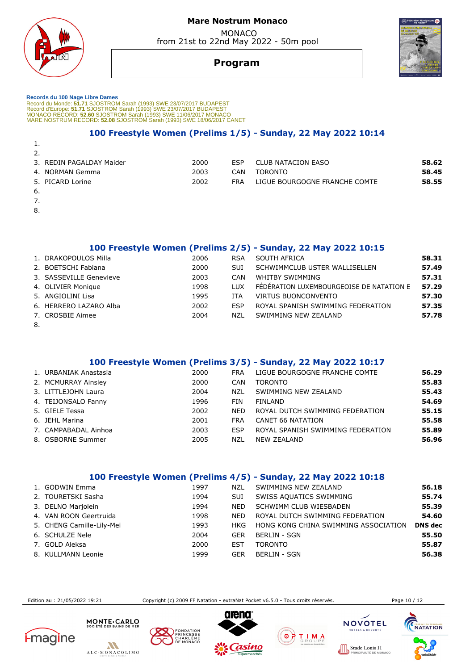



# MONACO from 21st to 22nd May 2022 - 50m pool



# **Program**

 **Records du 100 Nage Libre Dames**  Record du Monde: 51.71 SJOSTROM Sarah (1993) SWE 23/07/2017 BUDAPEST<br>Record d'Europe: 51.71 SJOSTROM Sarah (1993) SWE 23/07/2017 BUDAPEST<br>MONACO RECORD: 52.60 SJOSTROM Sarah (1993) SWE 11/06/2017 MONACO<br>MARE NOSTRUM RECORD

## **100 Freestyle Women (Prelims 1/5) - Sunday, 22 May 2022 10:14**

| 2.                       |      |     |                               |       |
|--------------------------|------|-----|-------------------------------|-------|
| 3. REDIN PAGALDAY Maider | 2000 | ESP | CLUB NATACION EASO            | 58.62 |
| 4. NORMAN Gemma          | 2003 | CAN | <b>TORONTO</b>                | 58.45 |
| 5. PICARD Lorine         | 2002 | FRA | LIGUE BOURGOGNE FRANCHE COMTE | 58.55 |
| -6.                      |      |     |                               |       |

7.

1.

8.

 **100 Freestyle Women (Prelims 2/5) - Sunday, 22 May 2022 10:15**<br> **2006 RSA SOUTH AFRICA** 1. DRAKOPOULOS Milla 2006 RSA SOUTH AFRICA **58.31**

|    | I. DRANUPUULUJ MIII 1   | zuuu | <b>RCA</b> | <b>SUUTH AFRICA</b>                      | 30.31 |
|----|-------------------------|------|------------|------------------------------------------|-------|
|    | 2. BOETSCHI Fabiana     | 2000 | <b>SUI</b> | SCHWIMMCLUB USTER WALLISELLEN            | 57.49 |
|    | 3. SASSEVILLE Genevieve | 2003 | CAN        | WHITBY SWIMMING                          | 57.31 |
|    | 4. OLIVIER Monique      | 1998 | TUX        | FÉDÉRATION LUXEMBOURGEOISE DE NATATION E | 57.29 |
|    | 5. ANGIOLINI Lisa       | 1995 | <b>ITA</b> | VIRTUS BUONCONVENTO                      | 57.30 |
|    | 6. HERRERO LAZARO Alba  | 2002 | <b>FSP</b> | ROYAL SPANISH SWIMMING FEDERATION        | 57.35 |
|    | 7. CROSBIE Aimee        | 2004 | NZL        | SWIMMING NEW ZEALAND                     | 57.78 |
| 8. |                         |      |            |                                          |       |

# **100 Freestyle Women (Prelims 3/5) - Sunday, 22 May 2022 10:17**

| 1. URBANIAK Anastasia | 2000 | <b>FRA</b> | LIGUE BOURGOGNE FRANCHE COMTE     | 56.29 |
|-----------------------|------|------------|-----------------------------------|-------|
| 2. MCMURRAY Ainsley   | 2000 | CAN        | <b>TORONTO</b>                    | 55.83 |
| 3. LITTLEJOHN Laura   | 2004 | NZL        | SWIMMING NEW ZEALAND              | 55.43 |
| 4. TEIJONSALO Fanny   | 1996 | <b>FIN</b> | FINLAND                           | 54.69 |
| 5. GIELE Tessa        | 2002 | <b>NFD</b> | ROYAL DUTCH SWIMMING FEDERATION   | 55.15 |
| 6. JEHL Marina        | 2001 | <b>FRA</b> | CANET 66 NATATION                 | 55.58 |
| 7. CAMPABADAL Ainhoa  | 2003 | ESP        | ROYAL SPANISH SWIMMING FEDERATION | 55.89 |
| 8. OSBORNE Summer     | 2005 | NZL        | <b>NEW ZEALAND</b>                | 56.96 |
|                       |      |            |                                   |       |

# **100 Freestyle Women (Prelims 4/5) - Sunday, 22 May 2022 10:18**

| 1. GODWIN Emma            | 1997            | NZL        | SWIMMING NEW ZEALAND                 | 56.18          |
|---------------------------|-----------------|------------|--------------------------------------|----------------|
| 2. TOURETSKI Sasha        | 1994            | <b>SUI</b> | SWISS AQUATICS SWIMMING              | 55.74          |
| 3. DELNO Marjolein        | 1994            | <b>NED</b> | SCHWIMM CLUB WIESBADEN               | 55.39          |
| 4. VAN ROON Geertruida    | 1998            | <b>NFD</b> | ROYAL DUTCH SWIMMING FEDERATION      | 54.60          |
| 5. CHENG Camille Lily Mei | <del>1993</del> | <b>HKG</b> | HONG KONG CHINA SWIMMING ASSOCIATION | <b>DNS</b> dec |
| 6. SCHULZE Nele           | 2004            | GER        | <b>BERLIN - SGN</b>                  | 55.50          |
| 7. GOLD Aleksa            | 2000            | <b>EST</b> | <b>TORONTO</b>                       | 55.87          |
| 8. KULLMANN Leonie        | 1999            | <b>GER</b> | <b>BERLIN - SGN</b>                  | 56.38          |

Edition au : 21/05/2022 19:21 Copyright (c) 2009 FF Natation - extraNat Pocket v6.5.0 - Tous droits réservés. Page 10 / 12











 $0000$ 

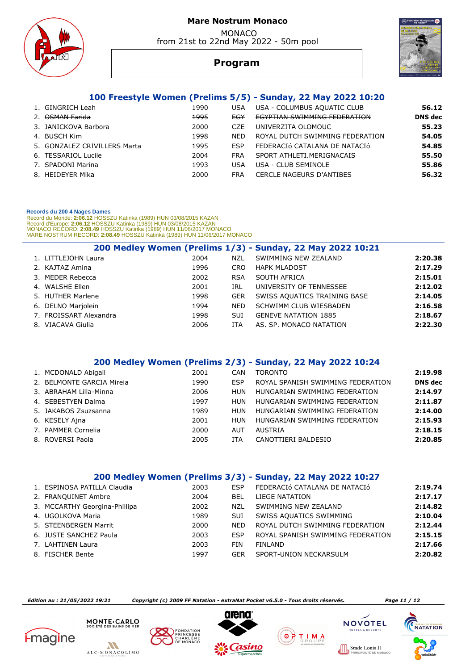

 MONACO from 21st to 22nd May 2022 - 50m pool



# **Program**

# **100 Freestyle Women (Prelims 5/5) - Sunday, 22 May 2022 10:20**

| 1. GINGRICH Leah             | 1990 | USA        | USA - COLUMBUS AQUATIC CLUB         | 56.12          |
|------------------------------|------|------------|-------------------------------------|----------------|
| OSMAN Farida                 | 1995 | EGY        | <b>EGYPTIAN SWIMMING FEDERATION</b> | <b>DNS</b> dec |
| 3. JANICKOVA Barbora         | 2000 | CZE        | UNIVERZITA OLOMOUC                  | 55.23          |
| 4. BUSCH Kim                 | 1998 | <b>NED</b> | ROYAL DUTCH SWIMMING FEDERATION     | 54.05          |
| 5. GONZALEZ CRIVILLERS Marta | 1995 | ESP        | FEDERACIÓ CATALANA DE NATACIÓ       | 54.85          |
| 6. TESSARIOL Lucile          | 2004 | FRA        | SPORT ATHLETI.MERIGNACAIS           | 55.50          |
| 7. SPADONI Marina            | 1993 | USA        | USA - CLUB SEMINOLE                 | 55.86          |
| 8. HEIDEYER Mika             | 2000 | FRA        | <b>CERCLE NAGEURS D'ANTIBES</b>     | 56.32          |
|                              |      |            |                                     |                |

#### **Records du 200 4 Nages Dames**

Record du Monde: **2:06.12** HOSSZU Katinka (1989) HUN 03/08/2015 KAZAN<br>Record d'Europe: 2**:06.12** HOSSZU Katinka (1989) HUN 03/08/2015 KAZAN<br>MONACO RECORD: **2:08.49** HOSSZU Katinka (1989) HUN 11/06/2017 MONACO<br>MARE NOSTRUM

|                        |      |            | 200 Medley Women (Prelims 1/3) - Sunday, 22 May 2022 10:21 |         |
|------------------------|------|------------|------------------------------------------------------------|---------|
| 1. LITTLEJOHN Laura    | 2004 | NZL        | SWIMMING NEW ZEALAND                                       | 2:20.38 |
| 2. KAJTAZ Amina        | 1996 | <b>CRO</b> | <b>HAPK MLADOST</b>                                        | 2:17.29 |
| 3. MEDER Rebecca       | 2002 | <b>RSA</b> | SOUTH AFRICA                                               | 2:15.01 |
| 4. WALSHE Ellen        | 2001 | IRL        | UNIVERSITY OF TENNESSEE                                    | 2:12.02 |
| 5. HUTHER Marlene      | 1998 | <b>GER</b> | SWISS AQUATICS TRAINING BASE                               | 2:14.05 |
| 6. DELNO Mariolein     | 1994 | <b>NED</b> | SCHWIMM CLUB WIESBADEN                                     | 2:16.58 |
| 7. FROISSART Alexandra | 1998 | <b>SUI</b> | <b>GENEVE NATATION 1885</b>                                | 2:18.67 |
| 8. VIACAVA Giulia      | 2006 | <b>ITA</b> | AS. SP. MONACO NATATION                                    | 2:22.30 |

### **200 Medley Women (Prelims 2/3) - Sunday, 22 May 2022 10:24**

| 1. MCDONALD Abigail       | 2001 | CAN | TORONTO                           | 2:19.98        |
|---------------------------|------|-----|-----------------------------------|----------------|
| 2. BELMONTE GARCIA Mireja | 1990 | ESP | ROYAL SPANISH SWIMMING FEDERATION | <b>DNS</b> dec |
| 3. ABRAHAM Lilla-Minna    | 2006 | HUN | HUNGARIAN SWIMMING FEDERATION     | 2:14.97        |
| 4. SEBESTYEN Dalma        | 1997 | HUN | HUNGARIAN SWIMMING FEDERATION     | 2:11.87        |
| 5. JAKABOS Zsuzsanna      | 1989 | HUN | HUNGARIAN SWIMMING FEDERATION     | 2:14.00        |
| 6. KESELY Ajna            | 2001 | HUN | HUNGARIAN SWIMMING FEDERATION     | 2:15.93        |
| 7. PAMMER Cornelia        | 2000 | AUT | AUSTRIA                           | 2:18.15        |
| 8. ROVERSI Paola          | 2005 | ITA | CANOTTIERI BALDESIO               | 2:20.85        |
|                           |      |     |                                   |                |

### **200 Medley Women (Prelims 3/3) - Sunday, 22 May 2022 10:27**

| 1. ESPINOSA PATILLA Claudia   | 2003 | <b>FSP</b> | FEDERACIÓ CATALANA DE NATACIÓ     | 2:19.74 |
|-------------------------------|------|------------|-----------------------------------|---------|
| 2. FRANQUINET Ambre           | 2004 | BEL        | LIEGE NATATION                    | 2:17.17 |
| 3. MCCARTHY Georgina-Phillipa | 2002 | <b>NZL</b> | SWIMMING NEW ZEALAND              | 2:14.82 |
| 4. UGOLKOVA Maria             | 1989 | SUI        | SWISS AQUATICS SWIMMING           | 2:10.04 |
| 5. STEENBERGEN Marrit         | 2000 | <b>NFD</b> | ROYAL DUTCH SWIMMING FEDERATION   | 2:12.44 |
| 6. JUSTE SANCHEZ Paula        | 2003 | ESP        | ROYAL SPANISH SWIMMING FEDERATION | 2:15.15 |
| 7. LAHTINEN Laura             | 2003 | <b>FIN</b> | <b>FINLAND</b>                    | 2:17.66 |
| 8. FISCHER Bente              | 1997 | <b>GER</b> | SPORT-UNION NECKARSULM            | 2:20.82 |

 *Edition au : 21/05/2022 19:21 Copyright (c) 2009 FF Natation - extraNat Pocket v6.5.0 - Tous droits réservés. Page 11 / 12* 

 $0000$ 

 $\overline{ }$